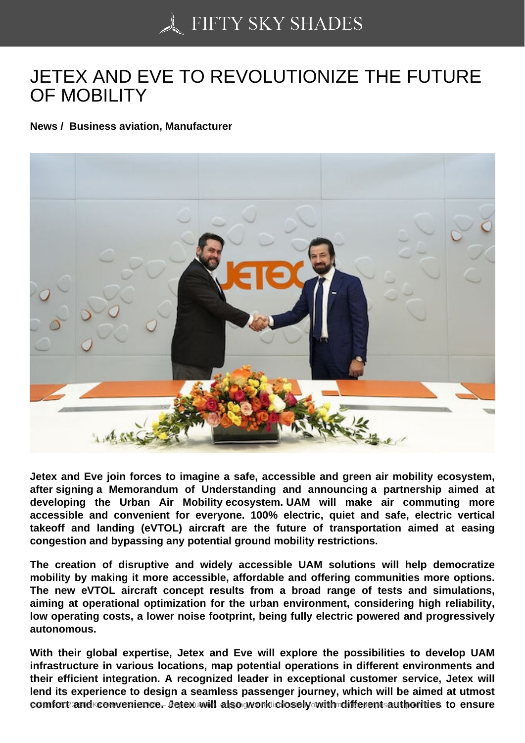## [JETEX AND EVE TO R](https://50skyshades.com)EVOLUTIONIZE THE FUTURE OF MOBILITY

News / Business aviation, Manufacturer

Jetex and Eve join forces to imagine a safe, accessible and green air mobility ecosystem, after signing a Memorandum of Understanding and announcing a partnership aimed at developing the Urban Air Mobility ecosystem. UAM will make air commuting more accessible and convenient for everyone. 100% electric, quiet and safe, electric vertical takeoff and landing (eVTOL) aircraft are the future of transportation aimed at easing congestion and bypassing any potential ground mobility restrictions.

The creation of disruptive and widely accessible UAM solutions will help democratize mobility by making it more accessible, affordable and offering communities more options. The new eVTOL aircraft concept results from a broad range of tests and simulations, aiming at operational optimization for the urban environment, considering high reliability, low operating costs, a lower noise footprint, being fully electric powered and progressively autonomous.

With their global expertise, Jetex and Eve will explore the possibilities to develop UAM infrastructure in various locations, map potential operations in different environments and their efficient integration. A recognized leader in exceptional customer service, Jetex will lend its experience to design a seamless passenger journey, which will be aimed at utmost comfort and sconvenience w Jetex will diso work closely with different authorities to tensure and reproduction